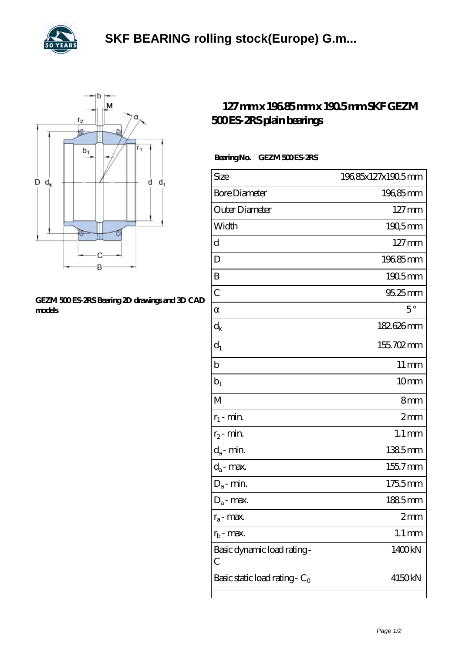



## **[GEZM 500 ES-2RS Bearing 2D drawings and 3D CAD](https://levitra-genericos.com/pic-587778.html) [models](https://levitra-genericos.com/pic-587778.html)**

## **[127 mm x 196.85 mm x 190.5 mm SKF GEZM](https://levitra-genericos.com/skf-gezm-500-es-2rs-bearing/) [500 ES-2RS plain bearings](https://levitra-genericos.com/skf-gezm-500-es-2rs-bearing/)**

## Bearing No. GEZM 500 ES-2RS

| Size                             | 19685x127x190.5mm   |
|----------------------------------|---------------------|
| <b>Bore Diameter</b>             | 19685mm             |
| Outer Diameter                   | $127 \,\mathrm{mm}$ |
| Width                            | 190,5mm             |
| d                                | $127 \,\mathrm{mm}$ |
| D                                | 19685mm             |
| B                                | 1905mm              |
| $\overline{C}$                   | 95.25mm             |
|                                  | $5^{\circ}$         |
| $\rm{d}_k$                       | 182626mm            |
| $d_1$                            | 155702mm            |
| b                                | $11 \,\mathrm{mm}$  |
| $b_1$                            | 10mm                |
| $\mathbf{M}$                     | 8mm                 |
| $r_1$ - min.                     | 2mm                 |
| $r_2$ - min.                     | $1.1 \,\mathrm{mm}$ |
| $d_a$ - min.                     | 1385mm              |
| $d_a$ - max.                     | 1557mm              |
| $D_a$ - min.                     | 1755mm              |
| $D_a$ - max.                     | 1885mm              |
| $r_a$ - max.                     | 2 <sub>mm</sub>     |
| $r_{b}$ - max.                   | $1.1 \,\mathrm{mm}$ |
| Basic dynamic load rating-<br>С  | 1400kN              |
| Basic static load rating - $C_0$ | 4150kN              |